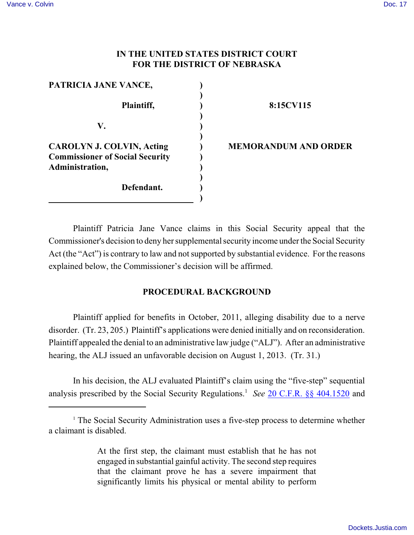# **IN THE UNITED STATES DISTRICT COURT FOR THE DISTRICT OF NEBRASKA**

| PATRICIA JANE VANCE,                                                                          |  |
|-----------------------------------------------------------------------------------------------|--|
| Plaintiff,                                                                                    |  |
| V.                                                                                            |  |
| <b>CAROLYN J. COLVIN, Acting</b><br><b>Commissioner of Social Security</b><br>Administration, |  |
| Defendant.                                                                                    |  |

#### **8:15CV115**

#### **MEMORANDUM AND ORDER**

Plaintiff Patricia Jane Vance claims in this Social Security appeal that the Commissioner's decision to deny her supplemental security income under the Social Security Act (the "Act") is contrary to law and not supported by substantial evidence. For the reasons explained below, the Commissioner's decision will be affirmed.

# **PROCEDURAL BACKGROUND**

Plaintiff applied for benefits in October, 2011, alleging disability due to a nerve disorder. (Tr. 23, 205.) Plaintiff's applications were denied initially and on reconsideration. Plaintiff appealed the denial to an administrative law judge ("ALJ"). After an administrative hearing, the ALJ issued an unfavorable decision on August 1, 2013. (Tr. 31.)

In his decision, the ALJ evaluated Plaintiff's claim using the "five-step" sequential analysis prescribed by the Social Security Regulations.<sup>1</sup> See [20 C.F.R. §§ 404.1520](http://www.westlaw.com/find/default.wl?rs=CLWP3.0&vr=2.0&cite=20+CFR+ss+404.1520) and

At the first step, the claimant must establish that he has not engaged in substantial gainful activity. The second step requires that the claimant prove he has a severe impairment that significantly limits his physical or mental ability to perform

<sup>&</sup>lt;sup>1</sup> The Social Security Administration uses a five-step process to determine whether a claimant is disabled.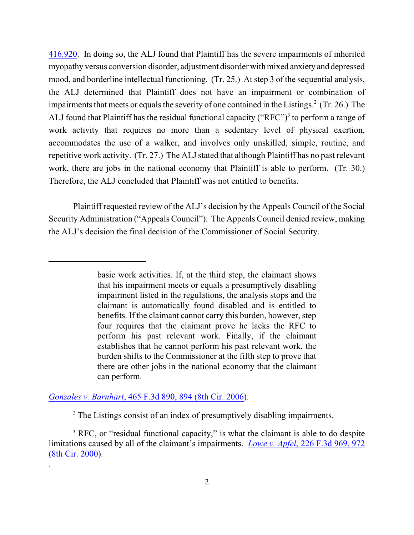[416.920](http://web2.westlaw.com/find/default.wl?rs=WLW11.07&rp=%2ffind%2fdefault.wl&vr=2.0&fn=_top&mt=208&cite=20+CFR+%C2%A7+416.920&sv=Split). In doing so, the ALJ found that Plaintiff has the severe impairments of inherited myopathy versus conversion disorder, adjustment disorder with mixed anxiety and depressed mood, and borderline intellectual functioning. (Tr. 25.) At step 3 of the sequential analysis, the ALJ determined that Plaintiff does not have an impairment or combination of impairments that meets or equals the severity of one contained in the Listings.<sup>2</sup> (Tr. 26.) The ALJ found that Plaintiff has the residual functional capacity ("RFC")<sup>3</sup> to perform a range of work activity that requires no more than a sedentary level of physical exertion, accommodates the use of a walker, and involves only unskilled, simple, routine, and repetitive work activity. (Tr. 27.) The ALJ stated that although Plaintiff has no past relevant work, there are jobs in the national economy that Plaintiff is able to perform. (Tr. 30.) Therefore, the ALJ concluded that Plaintiff was not entitled to benefits.

Plaintiff requested review of the ALJ's decision by the Appeals Council of the Social Security Administration ("Appeals Council"). The Appeals Council denied review, making the ALJ's decision the final decision of the Commissioner of Social Security.

# *Gonzales v. Barnhart*[, 465 F.3d 890, 894 \(8th Cir. 2006](http://web2.westlaw.com/find/default.wl?vr=2.0&fn=_top&rs=WLW15.01&rp=%2ffind%2fdefault.wl&cite=465+f.3d+894)).

.

<sup>2</sup> The Listings consist of an index of presumptively disabling impairments.

<sup>3</sup> RFC, or "residual functional capacity," is what the claimant is able to do despite limitations caused by all of the claimant's impairments. *Lowe v. Apfel*[, 226 F.3d 969, 972](https://a.next.westlaw.com/Document/I644b3e70798e11d98c82a53fc8ac8757/View/FullText.html?transitionType=UniqueDocItem&contextData=(sc.UserEnteredCitation)&userEnteredCitation=226+f.3d+969) [\(8th Cir. 2000](https://a.next.westlaw.com/Document/I644b3e70798e11d98c82a53fc8ac8757/View/FullText.html?transitionType=UniqueDocItem&contextData=(sc.UserEnteredCitation)&userEnteredCitation=226+f.3d+969)).

basic work activities. If, at the third step, the claimant shows that his impairment meets or equals a presumptively disabling impairment listed in the regulations, the analysis stops and the claimant is automatically found disabled and is entitled to benefits. If the claimant cannot carry this burden, however, step four requires that the claimant prove he lacks the RFC to perform his past relevant work. Finally, if the claimant establishes that he cannot perform his past relevant work, the burden shifts to the Commissioner at the fifth step to prove that there are other jobs in the national economy that the claimant can perform.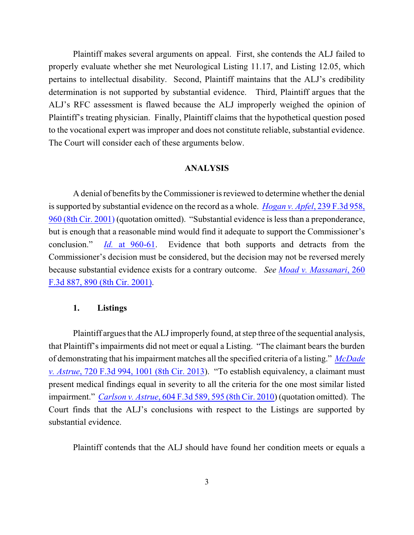Plaintiff makes several arguments on appeal. First, she contends the ALJ failed to properly evaluate whether she met Neurological Listing 11.17, and Listing 12.05, which pertains to intellectual disability. Second, Plaintiff maintains that the ALJ's credibility determination is not supported by substantial evidence. Third, Plaintiff argues that the ALJ's RFC assessment is flawed because the ALJ improperly weighed the opinion of Plaintiff's treating physician. Finally, Plaintiff claims that the hypothetical question posed to the vocational expert was improper and does not constitute reliable, substantial evidence. The Court will consider each of these arguments below.

# **ANALYSIS**

A denial of benefits by the Commissioner is reviewed to determine whether the denial is supported by substantial evidence on the record as a whole. *[Hogan v. Apfel](http://www.westlaw.com/find/default.wl?rs=CLWP3.0&vr=2.0&cite=239+F.3d+958)*, 239 F.3d 958, [960 \(8th Cir. 2001\)](http://www.westlaw.com/find/default.wl?rs=CLWP3.0&vr=2.0&cite=239+F.3d+958) (quotation omitted). "Substantial evidence is less than a preponderance, but is enough that a reasonable mind would find it adequate to support the Commissioner's conclusion." *Id.* [at 960-61](http://www.westlaw.com/find/default.wl?rs=CLWP3.0&vr=2.0&cite=239+F.3d+960). Evidence that both supports and detracts from the Commissioner's decision must be considered, but the decision may not be reversed merely because substantial evidence exists for a contrary outcome. *See [Moad v. Massanari](http://www.westlaw.com/find/default.wl?rs=CLWP3.0&vr=2.0&cite=260+F.3d+887)*, 260 [F.3d 887, 890 \(8th Cir. 2001\)](http://www.westlaw.com/find/default.wl?rs=CLWP3.0&vr=2.0&cite=260+F.3d+887).

# **1. Listings**

Plaintiff argues that the ALJ improperly found, at step three of the sequential analysis, that Plaintiff's impairments did not meet or equal a Listing. "The claimant bears the burden of demonstrating that his impairment matches all the specified criteria of a listing." *[McDade](https://a.next.westlaw.com/Document/I0c4f6b86f85b11e28503bda794601919/View/FullText.html?transitionType=UniqueDocItem&contextData=(sc.DocLink)&userEnteredCitation=720+f.3d+994) v. Astrue*[, 720 F.3d 994, 1001 \(8th Cir. 2013](https://a.next.westlaw.com/Document/I0c4f6b86f85b11e28503bda794601919/View/FullText.html?transitionType=UniqueDocItem&contextData=(sc.DocLink)&userEnteredCitation=720+f.3d+994)). "To establish equivalency, a claimant must present medical findings equal in severity to all the criteria for the one most similar listed impairment." *Carlson v. Astrue*[, 604 F.3d 589, 595 \(8th Cir. 2010](https://a.next.westlaw.com/Document/I7af3dab15c1e11dfae65b23e804c3c12/View/FullText.html?transitionType=UniqueDocItem&contextData=(sc.UserEnteredCitation)&userEnteredCitation=604+f.3d+589)) (quotation omitted). The Court finds that the ALJ's conclusions with respect to the Listings are supported by substantial evidence.

Plaintiff contends that the ALJ should have found her condition meets or equals a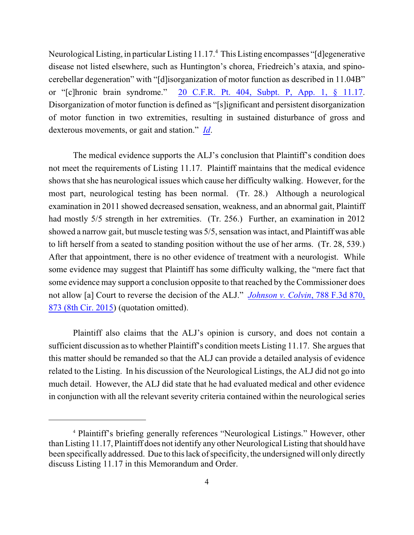Neurological Listing, in particular Listing 11.17.<sup>4</sup> This Listing encompasses "[d]egenerative disease not listed elsewhere, such as Huntington's chorea, Friedreich's ataxia, and spinocerebellar degeneration" with "[d]isorganization of motor function as described in 11.04B" or "[c]hronic brain syndrome." [20 C.F.R. Pt. 404, Subpt. P, App. 1, § 11.17](https://a.next.westlaw.com/Link/Document/FullText?findType=L&pubNum=1000547&cite=20CFRPT404SUBPTPAPP1&originatingDoc=I4572b18122ab11debc7bf97f340af743&refType=LQ&originationContext=document&transitionType=DocumentItem&contextData=(sc.Search)). Disorganization of motor function is defined as "[s]ignificant and persistent disorganization of motor function in two extremities, resulting in sustained disturbance of gross and dexterous movements, or gait and station." *[Id](https://a.next.westlaw.com/Link/Document/FullText?findType=L&pubNum=1000547&cite=20CFRPT404SUBPTPAPP1&originatingDoc=I5e7ac82640d911dfae65b23e804c3c12&refType=LQ&originationContext=document&transitionType=DocumentItem&contextData=(sc.Search))*.

The medical evidence supports the ALJ's conclusion that Plaintiff's condition does not meet the requirements of Listing 11.17. Plaintiff maintains that the medical evidence shows that she has neurological issues which cause her difficulty walking. However, for the most part, neurological testing has been normal. (Tr. 28.) Although a neurological examination in 2011 showed decreased sensation, weakness, and an abnormal gait, Plaintiff had mostly 5/5 strength in her extremities. (Tr. 256.) Further, an examination in 2012 showed a narrow gait, but muscle testing was 5/5, sensation was intact, and Plaintiff was able to lift herself from a seated to standing position without the use of her arms. (Tr. 28, 539.) After that appointment, there is no other evidence of treatment with a neurologist. While some evidence may suggest that Plaintiff has some difficulty walking, the "mere fact that some evidence may support a conclusion opposite to that reached by the Commissioner does not allow [a] Court to reverse the decision of the ALJ." *[Johnson v. Colvin](https://a.next.westlaw.com/Document/I970eec35106f11e5b4bafa136b480ad2/View/FullText.html?transitionType=UniqueDocItem&contextData=(sc.DocLink)&userEnteredCitation=788+f.3d+870)*, 788 F.3d 870, [873 \(8th Cir. 2015](https://a.next.westlaw.com/Document/I970eec35106f11e5b4bafa136b480ad2/View/FullText.html?transitionType=UniqueDocItem&contextData=(sc.DocLink)&userEnteredCitation=788+f.3d+870)) (quotation omitted).

Plaintiff also claims that the ALJ's opinion is cursory, and does not contain a sufficient discussion as to whether Plaintiff's condition meets Listing 11.17. She argues that this matter should be remanded so that the ALJ can provide a detailed analysis of evidence related to the Listing. In his discussion of the Neurological Listings, the ALJ did not go into much detail. However, the ALJ did state that he had evaluated medical and other evidence in conjunction with all the relevant severity criteria contained within the neurological series

<sup>4</sup> Plaintiff's briefing generally references "Neurological Listings." However, other than Listing 11.17, Plaintiff does not identify any other Neurological Listing that should have been specifically addressed. Due to this lack of specificity, the undersigned will only directly discuss Listing 11.17 in this Memorandum and Order.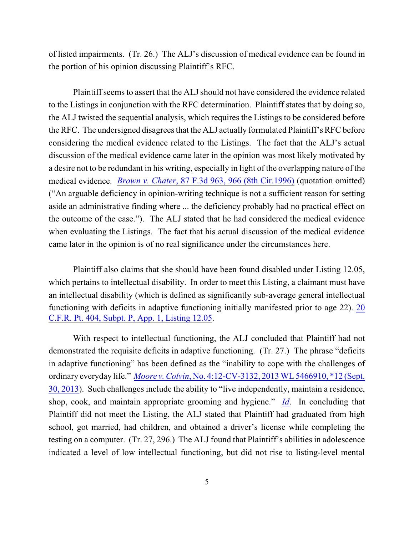of listed impairments. (Tr. 26.) The ALJ's discussion of medical evidence can be found in the portion of his opinion discussing Plaintiff's RFC.

Plaintiff seems to assert that the ALJ should not have considered the evidence related to the Listings in conjunction with the RFC determination. Plaintiff states that by doing so, the ALJ twisted the sequential analysis, which requires the Listings to be considered before the RFC. The undersigned disagrees that the ALJ actually formulated Plaintiff's RFC before considering the medical evidence related to the Listings. The fact that the ALJ's actual discussion of the medical evidence came later in the opinion was most likely motivated by a desire not to be redundant in his writing, especially in light of the overlapping nature of the medical evidence. *Brown v. Chater*[, 87 F.3d 963, 966 \(8th Cir.1996\)](http://www.westlaw.com/find/default.wl?rs=CLWP3.0&vr=2.0&cite=87+F.3d+963) (quotation omitted) ("An arguable deficiency in opinion-writing technique is not a sufficient reason for setting aside an administrative finding where ... the deficiency probably had no practical effect on the outcome of the case."). The ALJ stated that he had considered the medical evidence when evaluating the Listings. The fact that his actual discussion of the medical evidence came later in the opinion is of no real significance under the circumstances here.

Plaintiff also claims that she should have been found disabled under Listing 12.05, which pertains to intellectual disability. In order to meet this Listing, a claimant must have an intellectual disability (which is defined as significantly sub-average general intellectual functioning with deficits in adaptive functioning initially manifested prior to age 22). [20](https://a.next.westlaw.com/Link/Document/FullText?findType=L&pubNum=1000547&cite=20CFRPT404SUBPTPAPP1&originatingDoc=I5e7ac82640d911dfae65b23e804c3c12&refType=LQ&originationContext=document&transitionType=DocumentItem&contextData=(sc.Search)) [C.F.R. Pt. 404, Subpt. P, App. 1, Listing 12.05](https://a.next.westlaw.com/Link/Document/FullText?findType=L&pubNum=1000547&cite=20CFRPT404SUBPTPAPP1&originatingDoc=I5e7ac82640d911dfae65b23e804c3c12&refType=LQ&originationContext=document&transitionType=DocumentItem&contextData=(sc.Search)).

With respect to intellectual functioning, the ALJ concluded that Plaintiff had not demonstrated the requisite deficits in adaptive functioning. (Tr. 27.) The phrase "deficits in adaptive functioning" has been defined as the "inability to cope with the challenges of ordinary everyday life." *Moore v. Colvin*[, No. 4:12-CV-3132, 2013 WL 5466910, \\*12 \(Sept.](https://a.next.westlaw.com/Document/I630fd7b82c0811e39ac8bab74931929c/View/FullText.html?transitionType=UniqueDocItem&contextData=(sc.UserEnteredCitation)&userEnteredCitation=2013+wl+5466910) [30, 2013](https://a.next.westlaw.com/Document/I630fd7b82c0811e39ac8bab74931929c/View/FullText.html?transitionType=UniqueDocItem&contextData=(sc.UserEnteredCitation)&userEnteredCitation=2013+wl+5466910)). Such challenges include the ability to "live independently, maintain a residence, shop, cook, and maintain appropriate grooming and hygiene." *[Id](https://a.next.westlaw.com/Document/I630fd7b82c0811e39ac8bab74931929c/View/FullText.html?transitionType=UniqueDocItem&contextData=(sc.UserEnteredCitation)&userEnteredCitation=2013+wl+5466910)*. In concluding that Plaintiff did not meet the Listing, the ALJ stated that Plaintiff had graduated from high school, got married, had children, and obtained a driver's license while completing the testing on a computer. (Tr. 27, 296.) The ALJ found that Plaintiff's abilities in adolescence indicated a level of low intellectual functioning, but did not rise to listing-level mental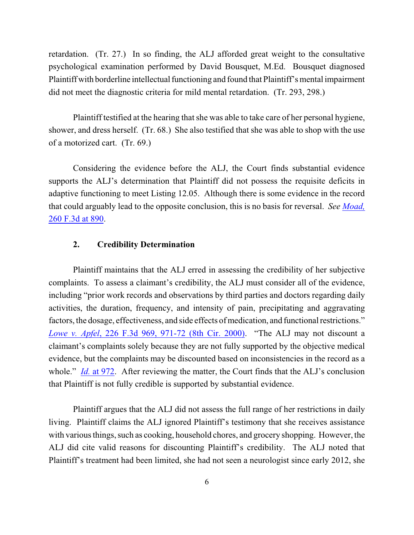retardation. (Tr. 27.) In so finding, the ALJ afforded great weight to the consultative psychological examination performed by David Bousquet, M.Ed. Bousquet diagnosed Plaintiff with borderline intellectual functioning and found that Plaintiff's mental impairment did not meet the diagnostic criteria for mild mental retardation. (Tr. 293, 298.)

Plaintiff testified at the hearing that she was able to take care of her personal hygiene, shower, and dress herself. (Tr. 68.) She also testified that she was able to shop with the use of a motorized cart. (Tr. 69.)

Considering the evidence before the ALJ, the Court finds substantial evidence supports the ALJ's determination that Plaintiff did not possess the requisite deficits in adaptive functioning to meet Listing 12.05. Although there is some evidence in the record that could arguably lead to the opposite conclusion, this is no basis for reversal. *See [Moad,](http://www.westlaw.com/find/default.wl?rs=CLWP3.0&vr=2.0&cite=260+F.3d+887)* [260 F.3d at 890](http://www.westlaw.com/find/default.wl?rs=CLWP3.0&vr=2.0&cite=260+F.3d+887).

#### **2. Credibility Determination**

Plaintiff maintains that the ALJ erred in assessing the credibility of her subjective complaints. To assess a claimant's credibility, the ALJ must consider all of the evidence, including "prior work records and observations by third parties and doctors regarding daily activities, the duration, frequency, and intensity of pain, precipitating and aggravating factors, the dosage, effectiveness, and side effects of medication, and functional restrictions." *Lowe v. Apfel*[, 226 F.3d 969, 971-72 \(8th Cir. 2000\)](http://www.westlaw.com/find/default.wl?rs=CLWP3.0&vr=2.0&cite=226+F.3d+969). "The ALJ may not discount a claimant's complaints solely because they are not fully supported by the objective medical evidence, but the complaints may be discounted based on inconsistencies in the record as a whole." *Id.* [at 972](http://www.westlaw.com/find/default.wl?rs=CLWP3.0&vr=2.0&cite=226+F.3d+972). After reviewing the matter, the Court finds that the ALJ's conclusion that Plaintiff is not fully credible is supported by substantial evidence.

Plaintiff argues that the ALJ did not assess the full range of her restrictions in daily living. Plaintiff claims the ALJ ignored Plaintiff's testimony that she receives assistance with various things, such as cooking, household chores, and grocery shopping. However, the ALJ did cite valid reasons for discounting Plaintiff's credibility. The ALJ noted that Plaintiff's treatment had been limited, she had not seen a neurologist since early 2012, she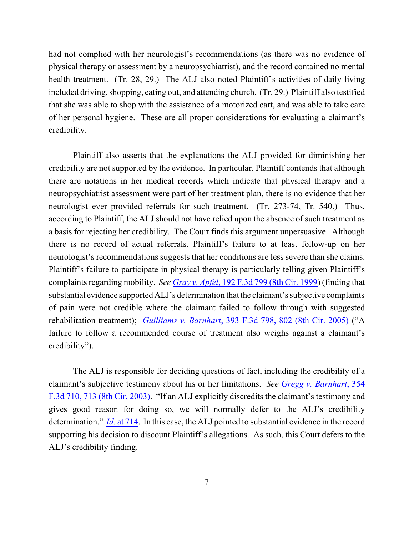had not complied with her neurologist's recommendations (as there was no evidence of physical therapy or assessment by a neuropsychiatrist), and the record contained no mental health treatment. (Tr. 28, 29.) The ALJ also noted Plaintiff's activities of daily living included driving, shopping, eating out, and attending church. (Tr. 29.) Plaintiff also testified that she was able to shop with the assistance of a motorized cart, and was able to take care of her personal hygiene. These are all proper considerations for evaluating a claimant's credibility.

Plaintiff also asserts that the explanations the ALJ provided for diminishing her credibility are not supported by the evidence. In particular, Plaintiff contends that although there are notations in her medical records which indicate that physical therapy and a neuropsychiatrist assessment were part of her treatment plan, there is no evidence that her neurologist ever provided referrals for such treatment. (Tr. 273-74, Tr. 540.) Thus, according to Plaintiff, the ALJ should not have relied upon the absence of such treatment as a basis for rejecting her credibility. The Court finds this argument unpersuasive. Although there is no record of actual referrals, Plaintiff's failure to at least follow-up on her neurologist's recommendations suggests that her conditions are less severe than she claims. Plaintiff's failure to participate in physical therapy is particularly telling given Plaintiff's complaints regarding mobility. *See Gray v. Apfel*[, 192 F.3d 799 \(8th Cir. 1999](https://web2.westlaw.com/find/default.wl?cite=192+F.3d+799&rs=WLW13.10&vr=2.0&rp=%2ffind%2fdefault.wl&utid=3&fn=_top&mt=ReutersNewsUS&sv=Split)) (finding that substantial evidence supported ALJ's determination that the claimant's subjective complaints of pain were not credible where the claimant failed to follow through with suggested rehabilitation treatment); *Guilliams v. Barnhart*[, 393 F.3d 798, 802 \(8th Cir. 2005\)](http://www.westlaw.com/find/default.wl?rs=CLWP3.0&vr=2.0&cite=393+F.3d+798) ("A failure to follow a recommended course of treatment also weighs against a claimant's credibility").

The ALJ is responsible for deciding questions of fact, including the credibility of a claimant's subjective testimony about his or her limitations. *See [Gregg v. Barnhart](http://www.westlaw.com/find/default.wl?rs=CLWP3.0&vr=2.0&cite=354+F.3d+710)*, 354 [F.3d 710, 713 \(8th Cir. 2003\)](http://www.westlaw.com/find/default.wl?rs=CLWP3.0&vr=2.0&cite=354+F.3d+710). "If an ALJ explicitly discredits the claimant's testimony and gives good reason for doing so, we will normally defer to the ALJ's credibility determination." *Id.* [at 714](http://web2.westlaw.com/find/default.wl?fn=_top&rs=WLW11.01&rp=%2ffind%2fdefault.wl&vr=2.0&cite=354+f.3d+710). In this case, the ALJ pointed to substantial evidence in the record supporting his decision to discount Plaintiff's allegations. As such, this Court defers to the ALJ's credibility finding.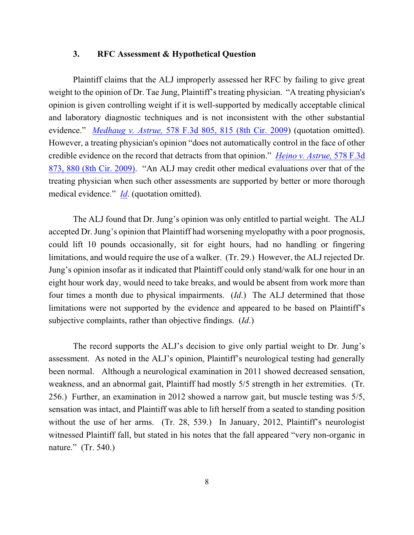#### **3. RFC Assessment & Hypothetical Question**

Plaintiff claims that the ALJ improperly assessed her RFC by failing to give great weight to the opinion of Dr. Tae Jung, Plaintiff's treating physician. "A treating physician's opinion is given controlling weight if it is well-supported by medically acceptable clinical and laboratory diagnostic techniques and is not inconsistent with the other substantial evidence." *Medhaug v. Astrue,* [578 F.3d 805, 815 \(8th Cir. 2009](https://a.next.westlaw.com/Document/I5831a719923311deabded03f2b83b8a4/View/FullText.html?transitionType=UniqueDocItem&contextData=(sc.UserEnteredCitation)&userEnteredCitation=578+f.3d+815#co_pp_sp_506_815)) (quotation omitted). However, a treating physician's opinion "does not automatically control in the face of other credible evidence on the record that detracts from that opinion." *[Heino v. Astrue,](http://www.westlaw.com/find/default.wl?rs=CLWP3.0&vr=2.0&cite=578+F.3d+873)* 578 F.3d [873, 880 \(8th Cir. 2009\)](http://www.westlaw.com/find/default.wl?rs=CLWP3.0&vr=2.0&cite=578+F.3d+873). "An ALJ may credit other medical evaluations over that of the treating physician when such other assessments are supported by better or more thorough medical evidence." *[Id](https://a.next.westlaw.com/Document/I8dd9033a930611de8bf6cd8525c41437/View/FullText.html?transitionType=UniqueDocItem&contextData=(sc.Default)&userEnteredCitation=578+f.3d+880#co_pp_sp_506_880)*. (quotation omitted).

The ALJ found that Dr. Jung's opinion was only entitled to partial weight. The ALJ accepted Dr. Jung's opinion that Plaintiff had worsening myelopathy with a poor prognosis, could lift 10 pounds occasionally, sit for eight hours, had no handling or fingering limitations, and would require the use of a walker. (Tr. 29.) However, the ALJ rejected Dr. Jung's opinion insofar as it indicated that Plaintiff could only stand/walk for one hour in an eight hour work day, would need to take breaks, and would be absent from work more than four times a month due to physical impairments. (*Id*.) The ALJ determined that those limitations were not supported by the evidence and appeared to be based on Plaintiff's subjective complaints, rather than objective findings. (*Id*.)

The record supports the ALJ's decision to give only partial weight to Dr. Jung's assessment. As noted in the ALJ's opinion, Plaintiff's neurological testing had generally been normal. Although a neurological examination in 2011 showed decreased sensation, weakness, and an abnormal gait, Plaintiff had mostly 5/5 strength in her extremities. (Tr. 256.) Further, an examination in 2012 showed a narrow gait, but muscle testing was 5/5, sensation was intact, and Plaintiff was able to lift herself from a seated to standing position without the use of her arms. (Tr. 28, 539.) In January, 2012, Plaintiff's neurologist witnessed Plaintiff fall, but stated in his notes that the fall appeared "very non-organic in nature." (Tr. 540.)